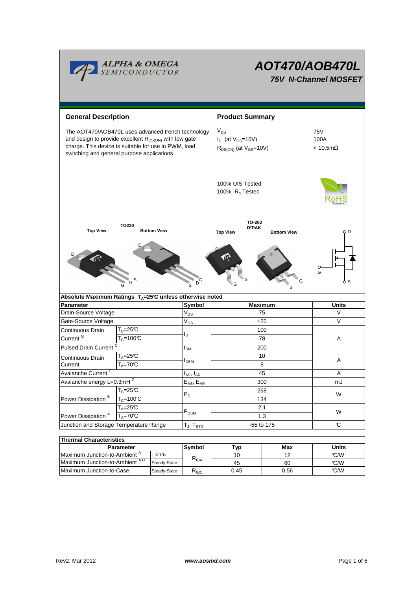

# **AOT470/AOB470L**

**75V N-Channel MOSFET**

| <b>General Description</b>                                                                                                                                                                                              |                                                                           |                           | <b>Product Summary</b>                                                  |                                           |              |  |
|-------------------------------------------------------------------------------------------------------------------------------------------------------------------------------------------------------------------------|---------------------------------------------------------------------------|---------------------------|-------------------------------------------------------------------------|-------------------------------------------|--------------|--|
| The AOT470/AOB470L uses advanced trench technology<br>and design to provide excellent $R_{DS(ON)}$ with low gate<br>charge. This device is suitable for use in PWM, load<br>switching and general purpose applications. |                                                                           |                           | $V_{DS}$<br>$I_D$ (at $V_{GS}$ =10V)<br>$R_{DS(ON)}$ (at $V_{GS}$ =10V) | <b>75V</b><br>100A<br>$< 10.5$ m $\Omega$ |              |  |
|                                                                                                                                                                                                                         |                                                                           |                           | 100% UIS Tested<br>100% R <sub>g</sub> Tested                           |                                           |              |  |
| TO220<br><b>Top View</b><br><b>Bottom View</b>                                                                                                                                                                          |                                                                           |                           | TO-263<br>$D^2$ PAK<br><b>Top View</b><br><b>Bottom View</b>            |                                           | Q D          |  |
| S<br>G<br>s                                                                                                                                                                                                             |                                                                           |                           |                                                                         |                                           | G            |  |
|                                                                                                                                                                                                                         | Absolute Maximum Ratings $T_A = 25^\circ \text{C}$ unless otherwise noted |                           |                                                                         |                                           |              |  |
| Parameter                                                                                                                                                                                                               |                                                                           | Symbol                    |                                                                         | <b>Maximum</b>                            | <b>Units</b> |  |
| Drain-Source Voltage                                                                                                                                                                                                    |                                                                           | $V_{DS}$                  |                                                                         | 75                                        | V            |  |
| Gate-Source Voltage                                                                                                                                                                                                     |                                                                           | $V_{GS}$                  | ±25<br>100                                                              |                                           | V            |  |
| $T_c = 25C$<br>Continuous Drain<br>Current <sup>G</sup>                                                                                                                                                                 |                                                                           | l <sub>D</sub>            |                                                                         |                                           |              |  |
|                                                                                                                                                                                                                         | $T_c = 100C$                                                              |                           | 78                                                                      |                                           | A            |  |
| <b>Pulsed Drain Current</b>                                                                                                                                                                                             |                                                                           | I <sub>DM</sub>           | 200                                                                     |                                           |              |  |
| <b>Continuous Drain</b><br>Current                                                                                                                                                                                      | $T_A = 25C$<br>$T_A = 70C$                                                | I <sub>DSM</sub>          | 10<br>8                                                                 |                                           | Α            |  |
| Avalanche Current <sup>C</sup>                                                                                                                                                                                          |                                                                           | $I_{AS}$ , $I_{AR}$       | 45                                                                      |                                           | Α            |  |
| Avalanche energy L=0.3mHC                                                                                                                                                                                               |                                                                           | $E_{AS}$ , $E_{AR}$       | 300                                                                     |                                           | mJ           |  |
| Power Dissipation <sup>B</sup>                                                                                                                                                                                          | $T_c = 25C$                                                               |                           | 268                                                                     |                                           | W<br>W       |  |
|                                                                                                                                                                                                                         | $T_c = 100C$                                                              | $P_D$                     | 134                                                                     |                                           |              |  |
|                                                                                                                                                                                                                         | $T_A = 25C$                                                               |                           | 2.1                                                                     |                                           |              |  |
| Power Dissipation <sup>A</sup>                                                                                                                                                                                          | $T_A = 70^\circ C$                                                        | $\mathsf{P}_\mathsf{DSM}$ | 1.3                                                                     |                                           |              |  |
| Junction and Storage Temperature Range                                                                                                                                                                                  |                                                                           | $T_J$ , $T_{STG}$         | -55 to 175                                                              |                                           | C            |  |
|                                                                                                                                                                                                                         |                                                                           |                           |                                                                         |                                           |              |  |
| <b>Thermal Characteristics</b>                                                                                                                                                                                          |                                                                           |                           |                                                                         |                                           |              |  |
| <b>Parameter</b>                                                                                                                                                                                                        |                                                                           | Symbol                    | Typ                                                                     | Max                                       | <b>Units</b> |  |

| i i nermal Characteristics.              |              |                |      |              |     |  |  |  |
|------------------------------------------|--------------|----------------|------|--------------|-----|--|--|--|
| <b>Parameter</b>                         | Symbol       | ™vp            | Max  | <b>Units</b> |     |  |  |  |
| Maximum Junction-to-Ambient <sup>"</sup> | $\leq 10s$   |                | 10   | 1 2          | C/W |  |  |  |
| Maximum Junction-to-Ambient AD           | Steady-State | $R_{\theta$ JA | 45   | 60           | C/M |  |  |  |
| Maximum Junction-to-Case                 | Steady-State | ™θJC           | 0.45 | 0.56         | C/M |  |  |  |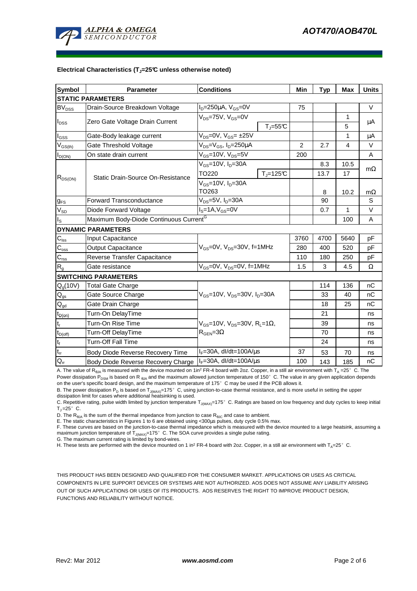

#### **Electrical Characteristics (TJ=25°C unless otherwise noted)**

| <b>Symbol</b>              | <b>Parameter</b>                                   | <b>Conditions</b>                                                                      |                     | Min            | <b>Typ</b>   | <b>Max</b>     | <b>Units</b> |  |
|----------------------------|----------------------------------------------------|----------------------------------------------------------------------------------------|---------------------|----------------|--------------|----------------|--------------|--|
| <b>STATIC PARAMETERS</b>   |                                                    |                                                                                        |                     |                |              |                |              |  |
| BV <sub>DSS</sub>          | Drain-Source Breakdown Voltage                     | $ID=250\mu A$ , $VGS=0V$                                                               |                     | 75             |              |                | V            |  |
| $I_{\text{DSS}}$           | Zero Gate Voltage Drain Current                    | $V_{DS}$ =75V, $V_{GS}$ =0V                                                            |                     |                |              | $\mathbf{1}$   |              |  |
|                            |                                                    |                                                                                        | $T_J = 55^{\circ}C$ |                |              | 5              | μA           |  |
| $I_{GSS}$                  | Gate-Body leakage current                          | $V_{DS} = 0V$ , $V_{GS} = \pm 25V$                                                     |                     |                |              | $\mathbf{1}$   | μA           |  |
| $V_{GS(th)}$               | Gate Threshold Voltage                             | $V_{DS} = V_{GS}$ , $I_D = 250 \mu A$                                                  |                     | $\overline{2}$ | 2.7          | $\overline{4}$ | V            |  |
| $I_{D(ON)}$                | On state drain current                             | $V_{GS}$ =10V, $V_{DS}$ =5V                                                            |                     | 200            |              |                | A            |  |
| $R_{DS(ON)}$               | Static Drain-Source On-Resistance                  | $V_{GS}$ =10V, I <sub>D</sub> =30A                                                     |                     |                | 8.3          | 10.5           |              |  |
|                            |                                                    | TO220                                                                                  | $T_i = 125C$        |                | 13.7         | 17             | $m\Omega$    |  |
|                            |                                                    | $V_{GS}$ =10V, $I_D$ =30A                                                              |                     |                |              |                |              |  |
|                            |                                                    | TO263                                                                                  |                     | 8              | 10.2         | $m\Omega$      |              |  |
| $g_{FS}$                   | Forward Transconductance                           | V <sub>DS</sub> =5V, I <sub>D</sub> =30A                                               |                     | 90             |              | S              |              |  |
| $V_{SD}$                   | Diode Forward Voltage                              | $I_S = 1A, V_{GS} = 0V$                                                                |                     | 0.7            | $\mathbf{1}$ | V              |              |  |
| $I_{\rm S}$                | Maximum Body-Diode Continuous Current <sup>G</sup> |                                                                                        |                     |                |              | 100            | Α            |  |
|                            | <b>DYNAMIC PARAMETERS</b>                          |                                                                                        |                     |                |              |                |              |  |
| $C_{\text{iss}}$           | Input Capacitance                                  |                                                                                        |                     | 3760           | 4700         | 5640           | рF           |  |
| $C_{\rm oss}$              | <b>Output Capacitance</b>                          | $V_{GS}$ =0V, $V_{DS}$ =30V, f=1MHz                                                    |                     | 280            | 400          | 520            | рF           |  |
| $C_{\rm rss}$              | Reverse Transfer Capacitance                       |                                                                                        |                     | 110            | 180          | 250            | рF           |  |
| R <sub>g</sub>             | Gate resistance                                    | $V_{GS}$ =0V, $V_{DS}$ =0V, f=1MHz                                                     |                     | 1.5            | 3            | 4.5            | Ω            |  |
|                            | <b>SWITCHING PARAMETERS</b>                        |                                                                                        |                     |                |              |                |              |  |
| Q <sub>q</sub> (10V)       | <b>Total Gate Charge</b>                           | $V_{GS}$ =10V, $V_{DS}$ =30V, $I_{D}$ =30A                                             |                     |                | 114          | 136            | nC           |  |
| $\mathsf{Q}_{\text{gs}}$   | Gate Source Charge                                 |                                                                                        |                     |                | 33           | 40             | nC           |  |
| $\mathsf{Q}_{\mathsf{gd}}$ | Gate Drain Charge                                  |                                                                                        |                     |                | 18           | 25             | nC           |  |
| $t_{D(on)}$                | Turn-On DelayTime                                  |                                                                                        |                     |                | 21           |                | ns           |  |
| $\mathsf{t}_{\mathsf{r}}$  | Turn-On Rise Time                                  | $V_{GS}$ =10V, V <sub>DS</sub> =30V, R <sub>L</sub> =1Ω,<br>$R_{\text{GEN}} = 3\Omega$ |                     |                | 39           |                | ns           |  |
| $t_{D(\text{off})}$        | Turn-Off DelayTime                                 |                                                                                        |                     |                | 70           |                | ns           |  |
| $\mathsf{t}_{\mathsf{f}}$  | Turn-Off Fall Time                                 |                                                                                        |                     |                | 24           |                | ns           |  |
| $t_{rr}$                   | Body Diode Reverse Recovery Time                   | $I_F = 30A$ , dl/dt=100A/ $\mu$ s                                                      |                     | 37             | 53           | 70             | ns           |  |
| $Q_{rr}$                   | Body Diode Reverse Recovery Charge                 | $I_F = 30A$ , dl/dt=100A/ $\mu$ s                                                      |                     | 100            | 143          | 185            | nC           |  |

A. The value of R<sub>BJA</sub> is measured with the device mounted on 1in<sup>2</sup> FR-4 board with 2oz. Copper, in a still air environment with T<sub>A</sub> =25°C. The Power dissipation P<sub>DSM</sub> is based on R <sub>θJA</sub> and the maximum allowed junction temperature of 150°C. The value in any given application depends on the user's specific board design, and the maximum temperature of 175°C may be used if the PCB allows it.

B. The power dissipation  $P_D$  is based on  $T_{J\{MAX\}}=175^\circ$  C, using junction-to-case thermal resistance, and is more useful in setting the upper

dissipation limit for cases where additional heatsinking is used.

C. Repetitive rating, pulse width limited by junction temperature  $T_{J(MAX)}$ =175°C. Ratings are based on low frequency and duty cycles to keep initial  $T_J = 25^\circ$  C.

D. The  $R_{\theta JA}$  is the sum of the thermal impedance from junction to case  $R_{\theta JC}$  and case to ambient.

E. The static characteristics in Figures 1 to 6 are obtained using <300us pulses, duty cycle 0.5% max.

F. These curves are based on the junction-to-case thermal impedance which is measured with the device mounted to a large heatsink, assuming a maximum junction temperature of  $T_{J(MAX)}$ =175°C. The SOA curve provides a single pulse rating.

G. The maximum current rating is limited by bond-wires.

H. These tests are performed with the device mounted on 1 in<sup>2</sup> FR-4 board with 2oz. Copper, in a still air environment with T<sub>A</sub>=25°C.

THIS PRODUCT HAS BEEN DESIGNED AND QUALIFIED FOR THE CONSUMER MARKET. APPLICATIONS OR USES AS CRITICAL COMPONENTS IN LIFE SUPPORT DEVICES OR SYSTEMS ARE NOT AUTHORIZED. AOS DOES NOT ASSUME ANY LIABILITY ARISING OUT OF SUCH APPLICATIONS OR USES OF ITS PRODUCTS. AOS RESERVES THE RIGHT TO IMPROVE PRODUCT DESIGN, FUNCTIONS AND RELIABILITY WITHOUT NOTICE.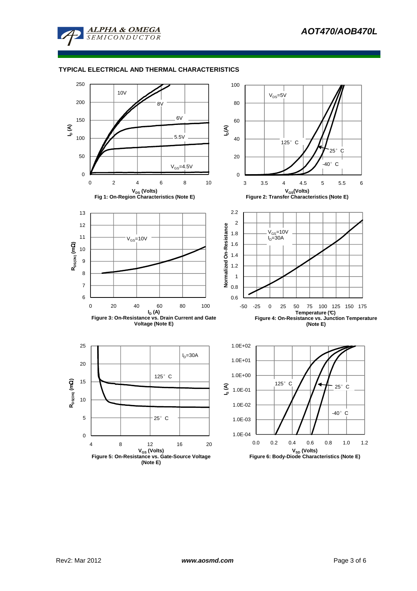

## **TYPICAL ELECTRICAL AND THERMAL CHARACTERISTICS**

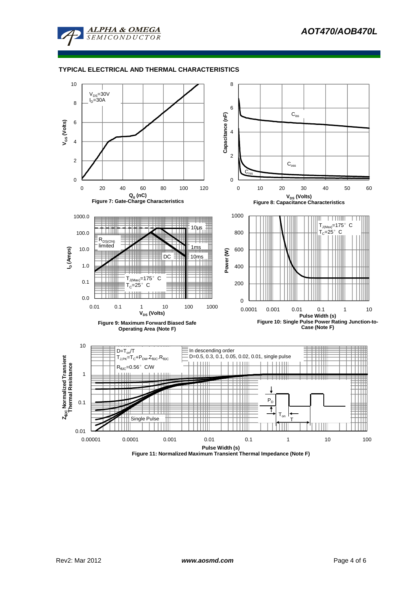

### **TYPICAL ELECTRICAL AND THERMAL CHARACTERISTICS**



**Figure 11: Normalized Maximum Transient Thermal Impedance (Note F)**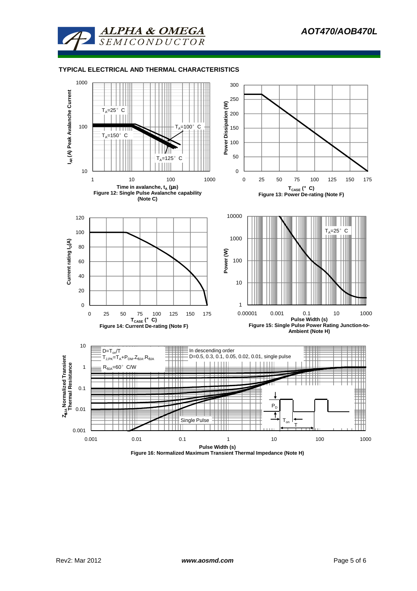

#### **TYPICAL ELECTRICAL AND THERMAL CHARACTERISTICS**



**Figure 16: Normalized Maximum Transient Thermal Impedance (Note H)**